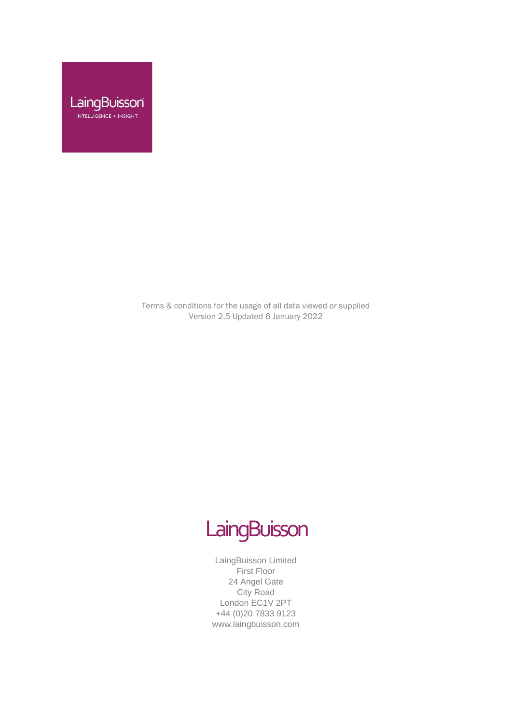

Terms & conditions for the usage of all data viewed or supplied Version 2.5 Updated 6 January 2022



LaingBuisson Limited First Floor 24 Angel Gate City Road London EC1V 2PT +44 (0)20 7833 9123 www.laingbuisson.com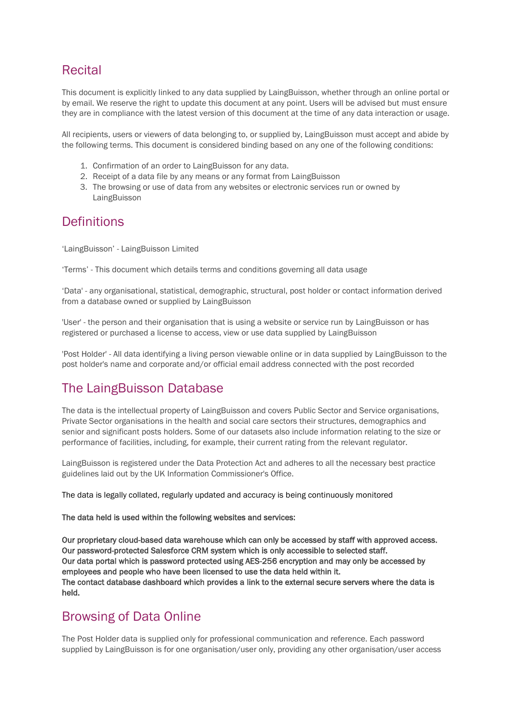# **Recital**

This document is explicitly linked to any data supplied by LaingBuisson, whether through an online portal or by email. We reserve the right to update this document at any point. Users will be advised but must ensure they are in compliance with the latest version of this document at the time of any data interaction or usage.

All recipients, users or viewers of data belonging to, or supplied by, LaingBuisson must accept and abide by the following terms. This document is considered binding based on any one of the following conditions:

- 1. Confirmation of an order to LaingBuisson for any data.
- 2. Receipt of a data file by any means or any format from LaingBuisson
- 3. The browsing or use of data from any websites or electronic services run or owned by LaingBuisson

## **Definitions**

'LaingBuisson' - LaingBuisson Limited

'Terms' - This document which details terms and conditions governing all data usage

'Data' - any organisational, statistical, demographic, structural, post holder or contact information derived from a database owned or supplied by LaingBuisson

'User' - the person and their organisation that is using a website or service run by LaingBuisson or has registered or purchased a license to access, view or use data supplied by LaingBuisson

'Post Holder' - All data identifying a living person viewable online or in data supplied by LaingBuisson to the post holder's name and corporate and/or official email address connected with the post recorded

# The LaingBuisson Database

The data is the intellectual property of LaingBuisson and covers Public Sector and Service organisations, Private Sector organisations in the health and social care sectors their structures, demographics and senior and significant posts holders. Some of our datasets also include information relating to the size or performance of facilities, including, for example, their current rating from the relevant regulator.

LaingBuisson is registered under the Data Protection Act and adheres to all the necessary best practice guidelines laid out by the UK Information Commissioner's Office.

The data is legally collated, regularly updated and accuracy is being continuously monitored

#### The data held is used within the following websites and services:

Our proprietary cloud-based data warehouse which can only be accessed by staff with approved access. Our password-protected Salesforce CRM system which is only accessible to selected staff. Our data portal which is password protected using AES-256 encryption and may only be accessed by employees and people who have been licensed to use the data held within it. The contact database dashboard which provides a link to the external secure servers where the data is held.

## Browsing of Data Online

The Post Holder data is supplied only for professional communication and reference. Each password supplied by LaingBuisson is for one organisation/user only, providing any other organisation/user access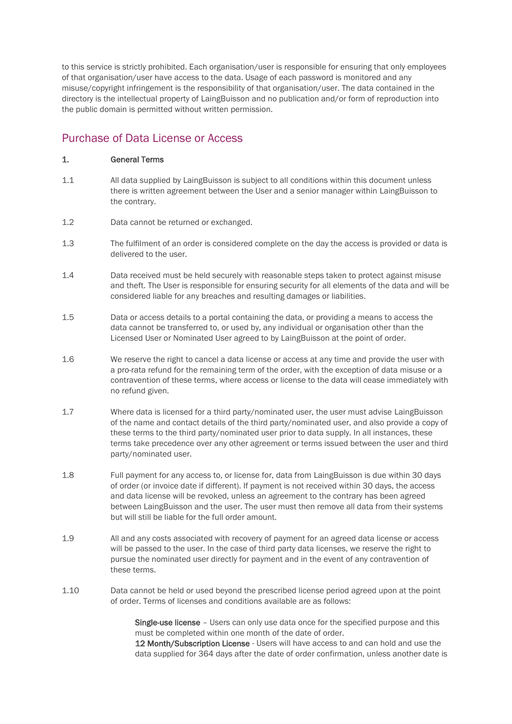to this service is strictly prohibited. Each organisation/user is responsible for ensuring that only employees of that organisation/user have access to the data. Usage of each password is monitored and any misuse/copyright infringement is the responsibility of that organisation/user. The data contained in the directory is the intellectual property of LaingBuisson and no publication and/or form of reproduction into the public domain is permitted without written permission.

### Purchase of Data License or Access

### 1. General Terms

- 1.1 All data supplied by LaingBuisson is subject to all conditions within this document unless there is written agreement between the User and a senior manager within LaingBuisson to the contrary.
- 1.2 Data cannot be returned or exchanged.
- 1.3 The fulfilment of an order is considered complete on the day the access is provided or data is delivered to the user.
- 1.4 Data received must be held securely with reasonable steps taken to protect against misuse and theft. The User is responsible for ensuring security for all elements of the data and will be considered liable for any breaches and resulting damages or liabilities.
- 1.5 Data or access details to a portal containing the data, or providing a means to access the data cannot be transferred to, or used by, any individual or organisation other than the Licensed User or Nominated User agreed to by LaingBuisson at the point of order.
- 1.6 We reserve the right to cancel a data license or access at any time and provide the user with a pro-rata refund for the remaining term of the order, with the exception of data misuse or a contravention of these terms, where access or license to the data will cease immediately with no refund given.
- 1.7 Where data is licensed for a third party/nominated user, the user must advise LaingBuisson of the name and contact details of the third party/nominated user, and also provide a copy of these terms to the third party/nominated user prior to data supply. In all instances, these terms take precedence over any other agreement or terms issued between the user and third party/nominated user.
- 1.8 Full payment for any access to, or license for, data from LaingBuisson is due within 30 days of order (or invoice date if different). If payment is not received within 30 days, the access and data license will be revoked, unless an agreement to the contrary has been agreed between LaingBuisson and the user. The user must then remove all data from their systems but will still be liable for the full order amount.
- 1.9 All and any costs associated with recovery of payment for an agreed data license or access will be passed to the user. In the case of third party data licenses, we reserve the right to pursue the nominated user directly for payment and in the event of any contravention of these terms.
- 1.10 Data cannot be held or used beyond the prescribed license period agreed upon at the point of order. Terms of licenses and conditions available are as follows:

Single-use license – Users can only use data once for the specified purpose and this must be completed within one month of the date of order.

12 Month/Subscription License - Users will have access to and can hold and use the data supplied for 364 days after the date of order confirmation, unless another date is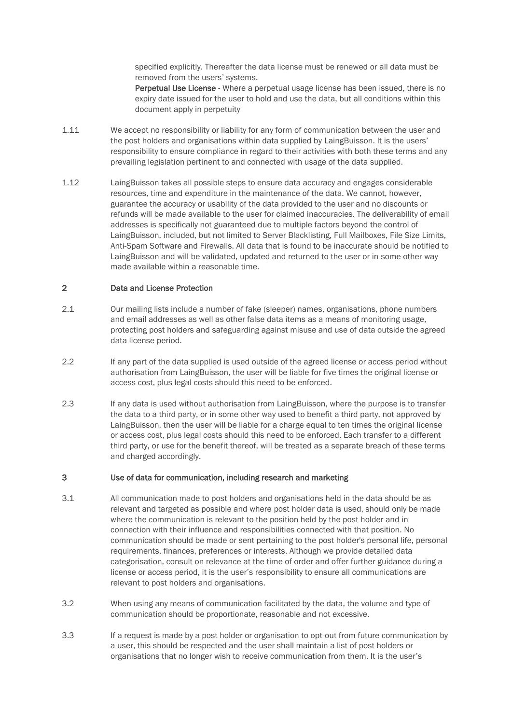specified explicitly. Thereafter the data license must be renewed or all data must be removed from the users' systems.

Perpetual Use License - Where a perpetual usage license has been issued, there is no expiry date issued for the user to hold and use the data, but all conditions within this document apply in perpetuity

- 1.11 We accept no responsibility or liability for any form of communication between the user and the post holders and organisations within data supplied by LaingBuisson. It is the users' responsibility to ensure compliance in regard to their activities with both these terms and any prevailing legislation pertinent to and connected with usage of the data supplied.
- 1.12 LaingBuisson takes all possible steps to ensure data accuracy and engages considerable resources, time and expenditure in the maintenance of the data. We cannot, however, guarantee the accuracy or usability of the data provided to the user and no discounts or refunds will be made available to the user for claimed inaccuracies. The deliverability of email addresses is specifically not guaranteed due to multiple factors beyond the control of LaingBuisson, included, but not limited to Server Blacklisting, Full Mailboxes, File Size Limits, Anti-Spam Software and Firewalls. All data that is found to be inaccurate should be notified to LaingBuisson and will be validated, updated and returned to the user or in some other way made available within a reasonable time.

#### 2 Data and License Protection

- 2.1 Our mailing lists include a number of fake (sleeper) names, organisations, phone numbers and email addresses as well as other false data items as a means of monitoring usage, protecting post holders and safeguarding against misuse and use of data outside the agreed data license period.
- 2.2 If any part of the data supplied is used outside of the agreed license or access period without authorisation from LaingBuisson, the user will be liable for five times the original license or access cost, plus legal costs should this need to be enforced.
- 2.3 If any data is used without authorisation from LaingBuisson, where the purpose is to transfer the data to a third party, or in some other way used to benefit a third party, not approved by LaingBuisson, then the user will be liable for a charge equal to ten times the original license or access cost, plus legal costs should this need to be enforced. Each transfer to a different third party, or use for the benefit thereof, will be treated as a separate breach of these terms and charged accordingly.

### 3 Use of data for communication, including research and marketing

- 3.1 All communication made to post holders and organisations held in the data should be as relevant and targeted as possible and where post holder data is used, should only be made where the communication is relevant to the position held by the post holder and in connection with their influence and responsibilities connected with that position. No communication should be made or sent pertaining to the post holder's personal life, personal requirements, finances, preferences or interests. Although we provide detailed data categorisation, consult on relevance at the time of order and offer further guidance during a license or access period, it is the user's responsibility to ensure all communications are relevant to post holders and organisations.
- 3.2 When using any means of communication facilitated by the data, the volume and type of communication should be proportionate, reasonable and not excessive.
- 3.3 If a request is made by a post holder or organisation to opt-out from future communication by a user, this should be respected and the user shall maintain a list of post holders or organisations that no longer wish to receive communication from them. It is the user's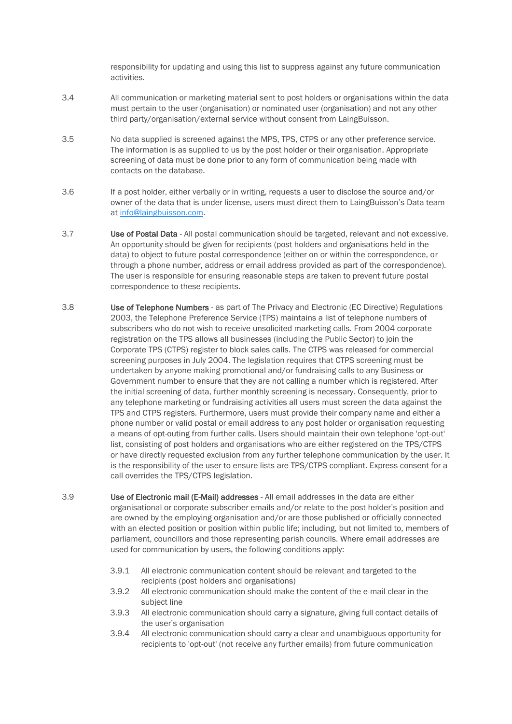responsibility for updating and using this list to suppress against any future communication activities.

- 3.4 All communication or marketing material sent to post holders or organisations within the data must pertain to the user (organisation) or nominated user (organisation) and not any other third party/organisation/external service without consent from LaingBuisson.
- 3.5 No data supplied is screened against the MPS, TPS, CTPS or any other preference service. The information is as supplied to us by the post holder or their organisation. Appropriate screening of data must be done prior to any form of communication being made with contacts on the database.
- 3.6 If a post holder, either verbally or in writing, requests a user to disclose the source and/or owner of the data that is under license, users must direct them to LaingBuisson's Data team at [info@laingbuisson.com.](mailto:info@laingbuisson.com)
- 3.7 Use of Postal Data All postal communication should be targeted, relevant and not excessive. An opportunity should be given for recipients (post holders and organisations held in the data) to object to future postal correspondence (either on or within the correspondence, or through a phone number, address or email address provided as part of the correspondence). The user is responsible for ensuring reasonable steps are taken to prevent future postal correspondence to these recipients.
- 3.8 Use of Telephone Numbers as part of The Privacy and Electronic (EC Directive) Regulations 2003, the Telephone Preference Service (TPS) maintains a list of telephone numbers of subscribers who do not wish to receive unsolicited marketing calls. From 2004 corporate registration on the TPS allows all businesses (including the Public Sector) to join the Corporate TPS (CTPS) register to block sales calls. The CTPS was released for commercial screening purposes in July 2004. The legislation requires that CTPS screening must be undertaken by anyone making promotional and/or fundraising calls to any Business or Government number to ensure that they are not calling a number which is registered. After the initial screening of data, further monthly screening is necessary. Consequently, prior to any telephone marketing or fundraising activities all users must screen the data against the TPS and CTPS registers. Furthermore, users must provide their company name and either a phone number or valid postal or email address to any post holder or organisation requesting a means of opt-outing from further calls. Users should maintain their own telephone 'opt-out' list, consisting of post holders and organisations who are either registered on the TPS/CTPS or have directly requested exclusion from any further telephone communication by the user. It is the responsibility of the user to ensure lists are TPS/CTPS compliant. Express consent for a call overrides the TPS/CTPS legislation.
- 3.9 Use of Electronic mail (E-Mail) addresses All email addresses in the data are either organisational or corporate subscriber emails and/or relate to the post holder's position and are owned by the employing organisation and/or are those published or officially connected with an elected position or position within public life; including, but not limited to, members of parliament, councillors and those representing parish councils. Where email addresses are used for communication by users, the following conditions apply:
	- 3.9.1 All electronic communication content should be relevant and targeted to the recipients (post holders and organisations)
	- 3.9.2 All electronic communication should make the content of the e-mail clear in the subject line
	- 3.9.3 All electronic communication should carry a signature, giving full contact details of the user's organisation
	- 3.9.4 All electronic communication should carry a clear and unambiguous opportunity for recipients to 'opt-out' (not receive any further emails) from future communication